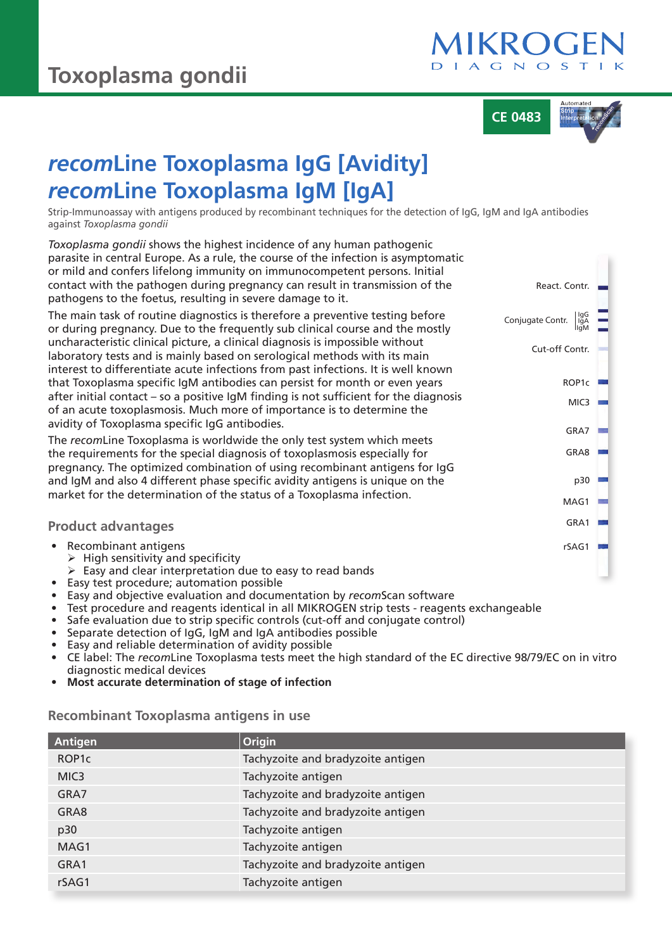

**CE 0483**

React. Contr.

Cut-off Contr.

Conjugate Contr.

ROP1c

MIC3

IgA IgM

GRA7

GRA8

p30

M<sub>AG1</sub>

rSAG1

GRA1

# *recom***Line Toxoplasma IgG [Avidity]** *recom***Line Toxoplasma IgM [IgA]**

Strip-Immunoassay with antigens produced by recombinant techniques for the detection of IgG, IgM and IgA antibodies against *Toxoplasma gondii*

*Toxoplasma gondii* shows the highest incidence of any human pathogenic parasite in central Europe. As a rule, the course of the infection is asymptomatic or mild and confers lifelong immunity on immunocompetent persons. Initial contact with the pathogen during pregnancy can result in transmission of the pathogens to the foetus, resulting in severe damage to it.

The main task of routine diagnostics is therefore a preventive testing before or during pregnancy. Due to the frequently sub clinical course and the mostly uncharacteristic clinical picture, a clinical diagnosis is impossible without laboratory tests and is mainly based on serological methods with its main interest to differentiate acute infections from past infections. It is well known that Toxoplasma specific IgM antibodies can persist for month or even years after initial contact – so a positive IgM finding is not sufficient for the diagnosis of an acute toxoplasmosis. Much more of importance is to determine the avidity of Toxoplasma specific IgG antibodies.

The *recom*Line Toxoplasma is worldwide the only test system which meets the requirements for the special diagnosis of toxoplasmosis especially for pregnancy. The optimized combination of using recombinant antigens for IgG and IgM and also 4 different phase specific avidity antigens is unique on the market for the determination of the status of a Toxoplasma infection.

|  | <b>Product advantages</b> |  |
|--|---------------------------|--|
|  |                           |  |

- Recombinant antigens
	- $\triangleright$  High sensitivity and specificity
	- $\triangleright$  Easy and clear interpretation due to easy to read bands
- Easy test procedure; automation possible
- Easy and objective evaluation and documentation by *recom*Scan software
- Test procedure and reagents identical in all MIKROGEN strip tests reagents exchangeable
- Safe evaluation due to strip specific controls (cut-off and conjugate control)
- Separate detection of IgG, IgM and IgA antibodies possible
- Easy and reliable determination of avidity possible
- CE label: The *recom*Line Toxoplasma tests meet the high standard of the EC directive 98/79/EC on in vitro diagnostic medical devices
- **Most accurate determination of stage of infection**

**Recombinant Toxoplasma antigens in use**

| Antigen            | Origin                            |
|--------------------|-----------------------------------|
| ROP <sub>1</sub> c | Tachyzoite and bradyzoite antigen |
| MIC <sub>3</sub>   | Tachyzoite antigen                |
| GRA7               | Tachyzoite and bradyzoite antigen |
| GRA8               | Tachyzoite and bradyzoite antigen |
| p30                | Tachyzoite antigen                |
| MAG1               | Tachyzoite antigen                |
| GRA1               | Tachyzoite and bradyzoite antigen |
| rSAG1              | Tachyzoite antigen                |